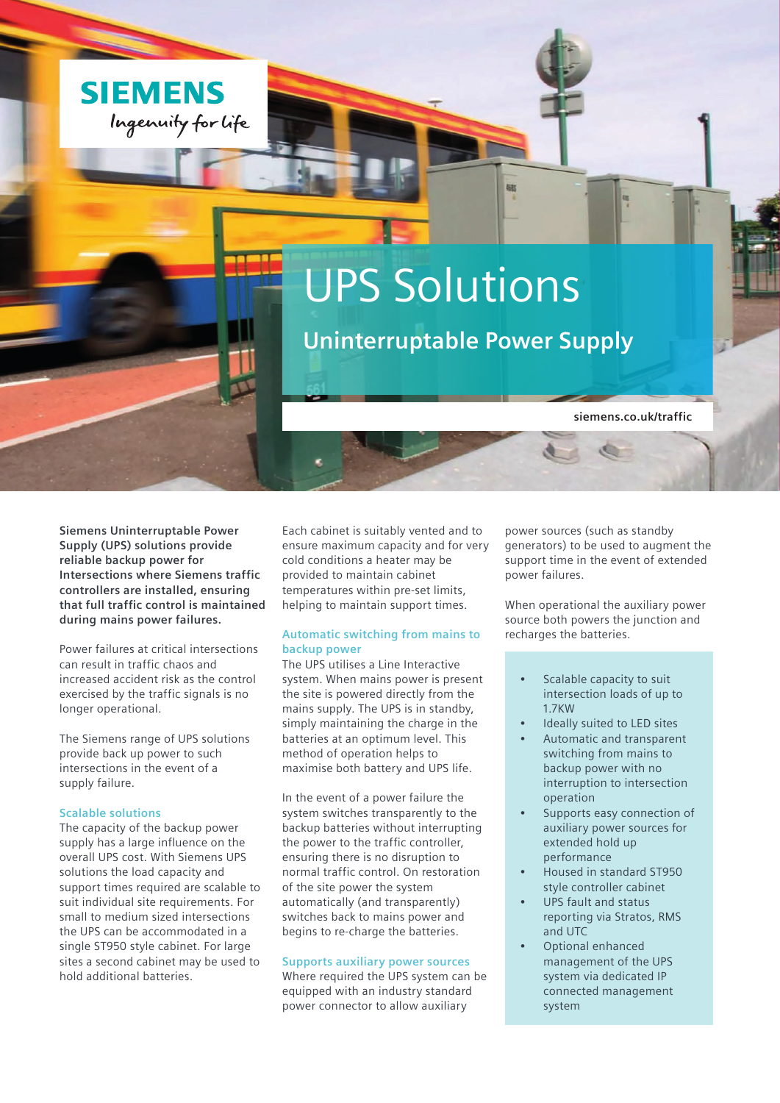

# UPS Solutions

**Uninterruptable Power Supply**

椒

**siemens.co.uk/traffic**

**Siemens Uninterruptable Power Supply (UPS) solutions provide reliable backup power for Intersections where Siemens traffic controllers are installed, ensuring that full traffic control is maintained during mains power failures.** 

Power failures at critical intersections can result in traffic chaos and increased accident risk as the control exercised by the traffic signals is no longer operational.

The Siemens range of UPS solutions provide back up power to such intersections in the event of a supply failure.

## **Scalable solutions**

The capacity of the backup power supply has a large influence on the overall UPS cost. With Siemens UPS solutions the load capacity and support times required are scalable to suit individual site requirements. For small to medium sized intersections the UPS can be accommodated in a single ST950 style cabinet. For large sites a second cabinet may be used to hold additional batteries.

Each cabinet is suitably vented and to ensure maximum capacity and for very cold conditions a heater may be provided to maintain cabinet temperatures within pre-set limits, helping to maintain support times.

# **Automatic switching from mains to backup power**

The UPS utilises a Line Interactive system. When mains power is present the site is powered directly from the mains supply. The UPS is in standby, simply maintaining the charge in the batteries at an optimum level. This method of operation helps to maximise both battery and UPS life.

In the event of a power failure the system switches transparently to the backup batteries without interrupting the power to the traffic controller, ensuring there is no disruption to normal traffic control. On restoration of the site power the system automatically (and transparently) switches back to mains power and begins to re-charge the batteries.

#### **Supports auxiliary power sources**

Where required the UPS system can be equipped with an industry standard power connector to allow auxiliary

power sources (such as standby generators) to be used to augment the support time in the event of extended power failures.

When operational the auxiliary power source both powers the junction and recharges the batteries.

- Scalable capacity to suit intersection loads of up to 1.7KW
- Ideally suited to LED sites
- Automatic and transparent switching from mains to backup power with no interruption to intersection operation
- Supports easy connection of auxiliary power sources for extended hold up performance
- Housed in standard ST950 style controller cabinet
- UPS fault and status reporting via Stratos, RMS and UTC
- Optional enhanced management of the UPS system via dedicated IP connected management system